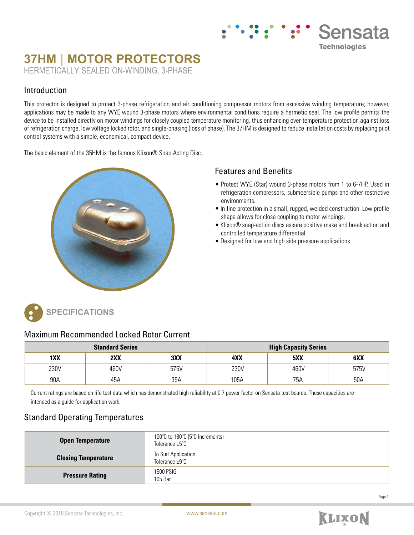# **37HM | MOTOR PROTECTORS** HERMETICALLY SEALED ON-WINDING, 3-PHASE

#### Introduction

This protector is designed to protect 3-phase refrigeration and air conditioning compressor motors from excessive winding temperature; however, applications may be made to any WYE wound 3-phase motors where environmental conditions require a hermetic seal. The low profile permits the device to be installed directly on motor windings for closely coupled temperature monitoring, thus enhancing over-temperature protection against loss of refrigeration charge, low voltage locked rotor, and single-phasing (loss of phase). The 37HM is designed to reduce installation costs by replacing pilot control systems with a simple, economical, compact device.

The basic element of the 35HM is the famous Klixon® Snap Acting Disc.



#### Features and Benefits

• Protect WYE (Star) wound 3-phase motors from 1 to 6-7HP. Used in refrigeration compressors, submeersible pumps and other restrictive environments.

Sensata

**Technologies** 

- In-line protection in a small, rugged, welded construction. Low profile shape allows for close coupling to motor windings.
- Klixon® snap-action discs assure positive make and break action and controlled temperature differential.
- Designed for low and high side pressure applications.



### Maximum Recommended Locked Rotor Current

| <b>Standard Series</b> |      |      | <b>High Capacity Series</b> |      |      |
|------------------------|------|------|-----------------------------|------|------|
| 1XX                    | 2XX  | 3XX  | 4XX                         | 5XX  | 6XX  |
| 230V                   | 460V | 575V | 230V                        | 460V | 575V |
| 90A                    | 45A  | 35A  | 105A                        | 75A  | 50A  |

Current ratings are based on life test data which has demonstrated high reliability at 0.7 power factor on Sensata test boards. These capacities are intended as a guide for application work.

## Standard Operating Temperatures

| <b>Open Temperature</b>    | 100°C to 180°C (5°C Increments)<br>Tolerance $\pm 5^{\circ}$ C |  |  |
|----------------------------|----------------------------------------------------------------|--|--|
| <b>Closing Temperature</b> | To Suit Application<br>Tolerance ±9°C                          |  |  |
| <b>Pressure Rating</b>     | 1500 PSIG<br>105 Bar                                           |  |  |

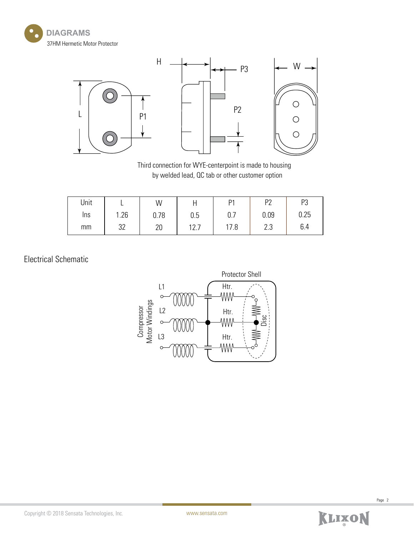



Third connection for WYE-centerpoint is made to housing by welded lead, QC tab or other customer option

| Unit |           | W    |              | P1   | D?        | D<br>ິບ |
|------|-----------|------|--------------|------|-----------|---------|
| Ins  | 1.26<br>4 | 0.78 | 0.5          | 0.7  | 0.09      | 0.25    |
| mm   | つつ<br>J۷  | 20   | 17 7<br>14.I | 17.8 | ററ<br>ں.ے | 6.4     |

# Electrical Schematic



Page 2